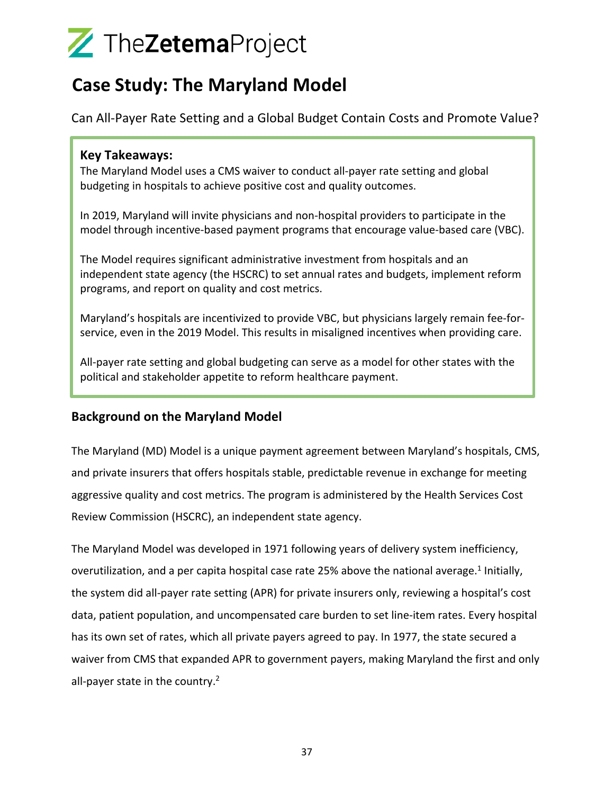### **Case Study: The Maryland Model**

Can All-Payer Rate Setting and a Global Budget Contain Costs and Promote Value?

### **Key Takeaways:**

The Maryland Model uses a CMS waiver to conduct all-payer rate setting and global budgeting in hospitals to achieve positive cost and quality outcomes.

In 2019, Maryland will invite physicians and non-hospital providers to participate in the model through incentive-based payment programs that encourage value-based care (VBC).

The Model requires significant administrative investment from hospitals and an independent state agency (the HSCRC) to set annual rates and budgets, implement reform programs, and report on quality and cost metrics.

Maryland's hospitals are incentivized to provide VBC, but physicians largely remain fee-forservice, even in the 2019 Model. This results in misaligned incentives when providing care.

All-payer rate setting and global budgeting can serve as a model for other states with the political and stakeholder appetite to reform healthcare payment.

### **Background on the Maryland Model**

The Maryland (MD) Model is a unique payment agreement between Maryland's hospitals, CMS, and private insurers that offers hospitals stable, predictable revenue in exchange for meeting aggressive quality and cost metrics. The program is administered by the Health Services Cost Review Commission (HSCRC), an independent state agency.

The Maryland Model was developed in 1971 following years of delivery system inefficiency, overutilization, and a per capita hospital case rate 25% above the national average.<sup>1</sup> Initially, the system did all-payer rate setting (APR) for private insurers only, reviewing a hospital's cost data, patient population, and uncompensated care burden to set line-item rates. Every hospital has its own set of rates, which all private payers agreed to pay. In 1977, the state secured a waiver from CMS that expanded APR to government payers, making Maryland the first and only all-payer state in the country. $2$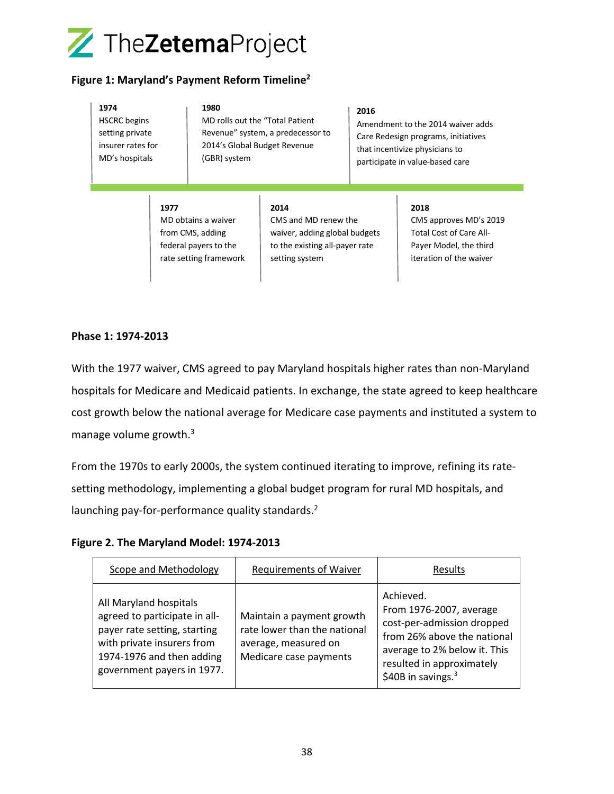

#### **Figure 1: Maryland's Payment Reform Timeline2**

| 1974<br><b>HSCRC</b> begins<br>setting private<br>insurer rates for<br>MD's hospitals |      | 1980<br>MD rolls out the "Total Patient"<br>2014's Global Budget Revenue<br>(GBR) system   | Revenue" system, a predecessor to                                                                                 | 2016 | Amendment to the 2014 waiver adds<br>Care Redesign programs, initiatives<br>that incentivize physicians to<br>participate in value-based care |
|---------------------------------------------------------------------------------------|------|--------------------------------------------------------------------------------------------|-------------------------------------------------------------------------------------------------------------------|------|-----------------------------------------------------------------------------------------------------------------------------------------------|
|                                                                                       | 1977 | MD obtains a waiver<br>from CMS, adding<br>federal payers to the<br>rate setting framework | 2014<br>CMS and MD renew the<br>waiver, adding global budgets<br>to the existing all-payer rate<br>setting system |      | 2018<br>CMS approves MD's 2019<br><b>Total Cost of Care All-</b><br>Payer Model, the third<br>iteration of the waiver                         |

#### **Phase 1: 1974-2013**

With the 1977 waiver, CMS agreed to pay Maryland hospitals higher rates than non-Maryland hospitals for Medicare and Medicaid patients. In exchange, the state agreed to keep healthcare cost growth below the national average for Medicare case payments and instituted a system to manage volume growth.3

From the 1970s to early 2000s, the system continued iterating to improve, refining its ratesetting methodology, implementing a global budget program for rural MD hospitals, and launching pay-for-performance quality standards.<sup>2</sup>

**Figure 2. The Maryland Model: 1974-2013**

| Scope and Methodology                                                                                                                                                            | <b>Requirements of Waiver</b>                                                                               | Results                                                                                                                                                                                 |
|----------------------------------------------------------------------------------------------------------------------------------------------------------------------------------|-------------------------------------------------------------------------------------------------------------|-----------------------------------------------------------------------------------------------------------------------------------------------------------------------------------------|
| All Maryland hospitals<br>agreed to participate in all-<br>payer rate setting, starting<br>with private insurers from<br>1974-1976 and then adding<br>government payers in 1977. | Maintain a payment growth<br>rate lower than the national<br>average, measured on<br>Medicare case payments | Achieved.<br>From 1976-2007, average<br>cost-per-admission dropped<br>from 26% above the national<br>average to 2% below it. This<br>resulted in approximately<br>\$40B in savings. $3$ |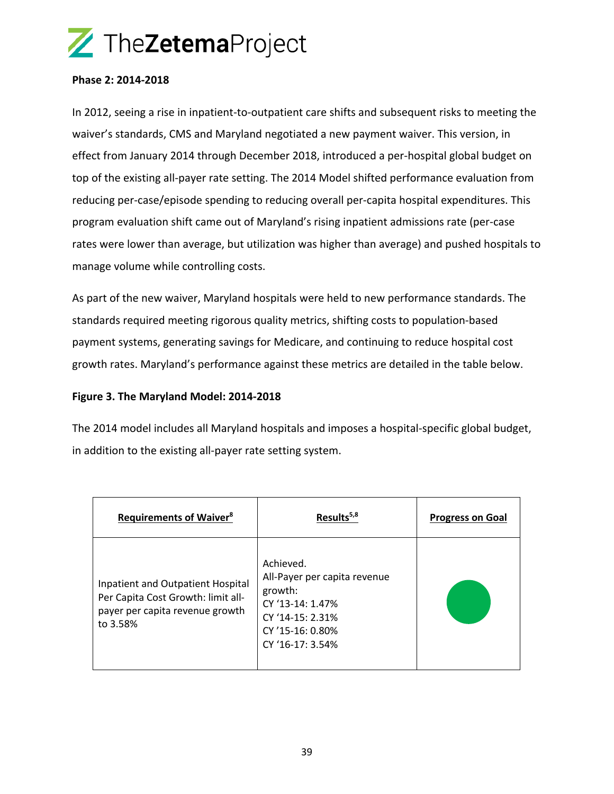#### **Phase 2: 2014-2018**

In 2012, seeing a rise in inpatient-to-outpatient care shifts and subsequent risks to meeting the waiver's standards, CMS and Maryland negotiated a new payment waiver. This version, in effect from January 2014 through December 2018, introduced a per-hospital global budget on top of the existing all-payer rate setting. The 2014 Model shifted performance evaluation from reducing per-case/episode spending to reducing overall per-capita hospital expenditures. This program evaluation shift came out of Maryland's rising inpatient admissions rate (per-case rates were lower than average, but utilization was higher than average) and pushed hospitals to manage volume while controlling costs.

As part of the new waiver, Maryland hospitals were held to new performance standards. The standards required meeting rigorous quality metrics, shifting costs to population-based payment systems, generating savings for Medicare, and continuing to reduce hospital cost growth rates. Maryland's performance against these metrics are detailed in the table below.

#### **Figure 3. The Maryland Model: 2014-2018**

The 2014 model includes all Maryland hospitals and imposes a hospital-specific global budget, in addition to the existing all-payer rate setting system.

| <b>Requirements of Waiver<sup>8</sup></b>                                                                              | Results <sup>5,8</sup>                                                                                                               | <b>Progress on Goal</b> |
|------------------------------------------------------------------------------------------------------------------------|--------------------------------------------------------------------------------------------------------------------------------------|-------------------------|
| Inpatient and Outpatient Hospital<br>Per Capita Cost Growth: limit all-<br>payer per capita revenue growth<br>to 3.58% | Achieved.<br>All-Payer per capita revenue<br>growth:<br>CY '13-14: 1.47%<br>CY '14-15: 2.31%<br>CY '15-16: 0.80%<br>CY '16-17: 3.54% |                         |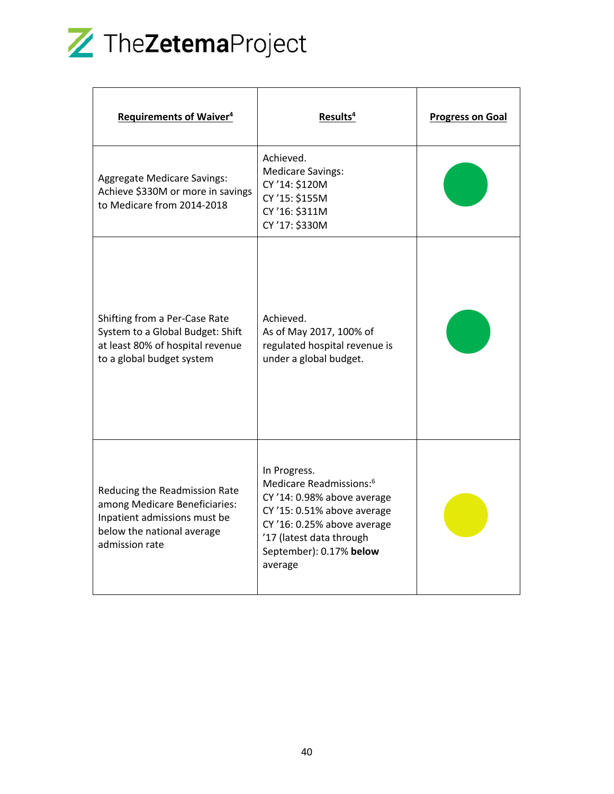

| <b>Requirements of Waiver<sup>4</sup></b>                                                                                                      | Results <sup>4</sup>                                                                                                                                                                                               | <b>Progress on Goal</b> |
|------------------------------------------------------------------------------------------------------------------------------------------------|--------------------------------------------------------------------------------------------------------------------------------------------------------------------------------------------------------------------|-------------------------|
| <b>Aggregate Medicare Savings:</b><br>Achieve \$330M or more in savings<br>to Medicare from 2014-2018                                          | Achieved.<br><b>Medicare Savings:</b><br>CY '14: \$120M<br>CY '15: \$155M<br>CY'16: \$311M<br>CY'17: \$330M                                                                                                        |                         |
| Shifting from a Per-Case Rate<br>System to a Global Budget: Shift<br>at least 80% of hospital revenue<br>to a global budget system             | Achieved.<br>As of May 2017, 100% of<br>regulated hospital revenue is<br>under a global budget.                                                                                                                    |                         |
| Reducing the Readmission Rate<br>among Medicare Beneficiaries:<br>Inpatient admissions must be<br>below the national average<br>admission rate | In Progress.<br>Medicare Readmissions: <sup>6</sup><br>CY '14: 0.98% above average<br>CY '15: 0.51% above average<br>CY '16: 0.25% above average<br>'17 (latest data through<br>September): 0.17% below<br>average |                         |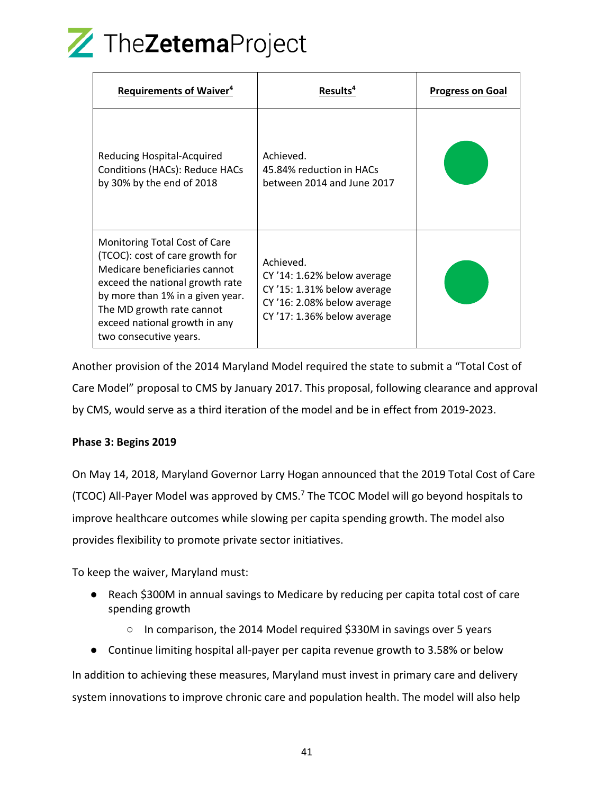

| <b>Requirements of Waiver<sup>4</sup></b>                                                                                                                                                                                                                        | Results <sup>4</sup>                                                                                                                   | <b>Progress on Goal</b> |
|------------------------------------------------------------------------------------------------------------------------------------------------------------------------------------------------------------------------------------------------------------------|----------------------------------------------------------------------------------------------------------------------------------------|-------------------------|
| Reducing Hospital-Acquired<br>Conditions (HACs): Reduce HACs<br>by 30% by the end of 2018                                                                                                                                                                        | Achieved.<br>45.84% reduction in HACs<br>between 2014 and June 2017                                                                    |                         |
| Monitoring Total Cost of Care<br>(TCOC): cost of care growth for<br>Medicare beneficiaries cannot<br>exceed the national growth rate<br>by more than 1% in a given year.<br>The MD growth rate cannot<br>exceed national growth in any<br>two consecutive years. | Achieved.<br>CY '14: 1.62% below average<br>$CY'15: 1.31%$ below average<br>CY '16: 2.08% below average<br>CY '17: 1.36% below average |                         |

Another provision of the 2014 Maryland Model required the state to submit a "Total Cost of Care Model" proposal to CMS by January 2017. This proposal, following clearance and approval by CMS, would serve as a third iteration of the model and be in effect from 2019-2023.

#### **Phase 3: Begins 2019**

On May 14, 2018, Maryland Governor Larry Hogan announced that the 2019 Total Cost of Care (TCOC) All-Payer Model was approved by CMS.7 The TCOC Model will go beyond hospitals to improve healthcare outcomes while slowing per capita spending growth. The model also provides flexibility to promote private sector initiatives.

To keep the waiver, Maryland must:

- Reach \$300M in annual savings to Medicare by reducing per capita total cost of care spending growth
	- In comparison, the 2014 Model required \$330M in savings over 5 years
- Continue limiting hospital all-payer per capita revenue growth to 3.58% or below

In addition to achieving these measures, Maryland must invest in primary care and delivery system innovations to improve chronic care and population health. The model will also help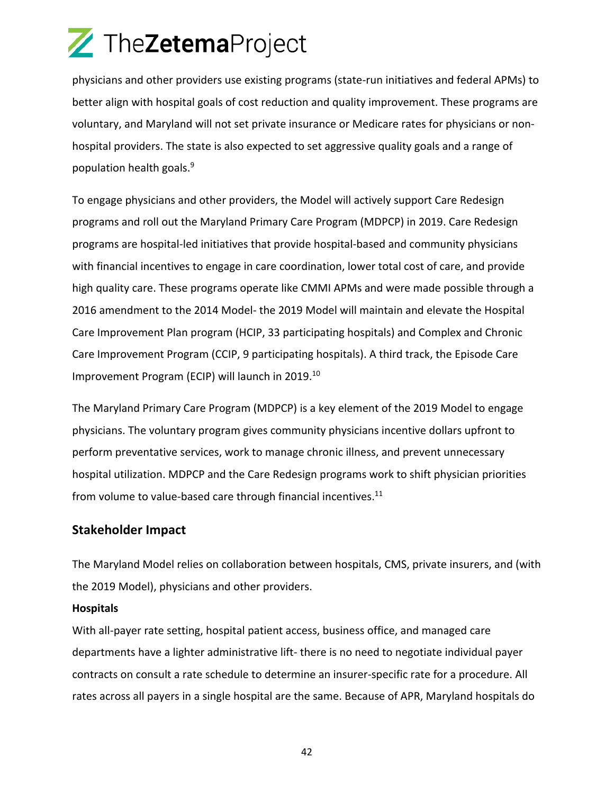physicians and other providers use existing programs (state-run initiatives and federal APMs) to better align with hospital goals of cost reduction and quality improvement. These programs are voluntary, and Maryland will not set private insurance or Medicare rates for physicians or nonhospital providers. The state is also expected to set aggressive quality goals and a range of population health goals.9

To engage physicians and other providers, the Model will actively support Care Redesign programs and roll out the Maryland Primary Care Program (MDPCP) in 2019. Care Redesign programs are hospital-led initiatives that provide hospital-based and community physicians with financial incentives to engage in care coordination, lower total cost of care, and provide high quality care. These programs operate like CMMI APMs and were made possible through a 2016 amendment to the 2014 Model- the 2019 Model will maintain and elevate the Hospital Care Improvement Plan program (HCIP, 33 participating hospitals) and Complex and Chronic Care Improvement Program (CCIP, 9 participating hospitals). A third track, the Episode Care Improvement Program (ECIP) will launch in 2019.10

The Maryland Primary Care Program (MDPCP) is a key element of the 2019 Model to engage physicians. The voluntary program gives community physicians incentive dollars upfront to perform preventative services, work to manage chronic illness, and prevent unnecessary hospital utilization. MDPCP and the Care Redesign programs work to shift physician priorities from volume to value-based care through financial incentives.<sup>11</sup>

### **Stakeholder Impact**

The Maryland Model relies on collaboration between hospitals, CMS, private insurers, and (with the 2019 Model), physicians and other providers.

#### **Hospitals**

With all-payer rate setting, hospital patient access, business office, and managed care departments have a lighter administrative lift- there is no need to negotiate individual payer contracts on consult a rate schedule to determine an insurer-specific rate for a procedure. All rates across all payers in a single hospital are the same. Because of APR, Maryland hospitals do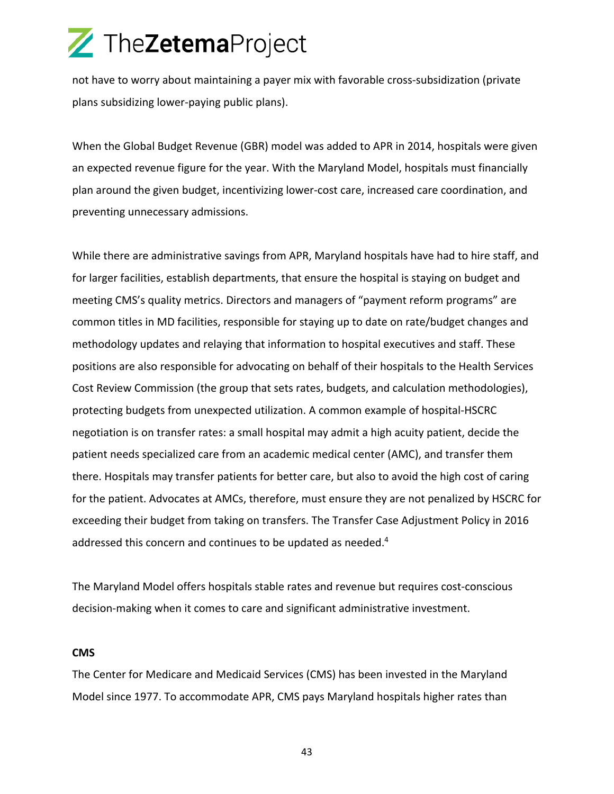not have to worry about maintaining a payer mix with favorable cross-subsidization (private plans subsidizing lower-paying public plans).

When the Global Budget Revenue (GBR) model was added to APR in 2014, hospitals were given an expected revenue figure for the year. With the Maryland Model, hospitals must financially plan around the given budget, incentivizing lower-cost care, increased care coordination, and preventing unnecessary admissions.

While there are administrative savings from APR, Maryland hospitals have had to hire staff, and for larger facilities, establish departments, that ensure the hospital is staying on budget and meeting CMS's quality metrics. Directors and managers of "payment reform programs" are common titles in MD facilities, responsible for staying up to date on rate/budget changes and methodology updates and relaying that information to hospital executives and staff. These positions are also responsible for advocating on behalf of their hospitals to the Health Services Cost Review Commission (the group that sets rates, budgets, and calculation methodologies), protecting budgets from unexpected utilization. A common example of hospital-HSCRC negotiation is on transfer rates: a small hospital may admit a high acuity patient, decide the patient needs specialized care from an academic medical center (AMC), and transfer them there. Hospitals may transfer patients for better care, but also to avoid the high cost of caring for the patient. Advocates at AMCs, therefore, must ensure they are not penalized by HSCRC for exceeding their budget from taking on transfers. The Transfer Case Adjustment Policy in 2016 addressed this concern and continues to be updated as needed.<sup>4</sup>

The Maryland Model offers hospitals stable rates and revenue but requires cost-conscious decision-making when it comes to care and significant administrative investment.

#### **CMS**

The Center for Medicare and Medicaid Services (CMS) has been invested in the Maryland Model since 1977. To accommodate APR, CMS pays Maryland hospitals higher rates than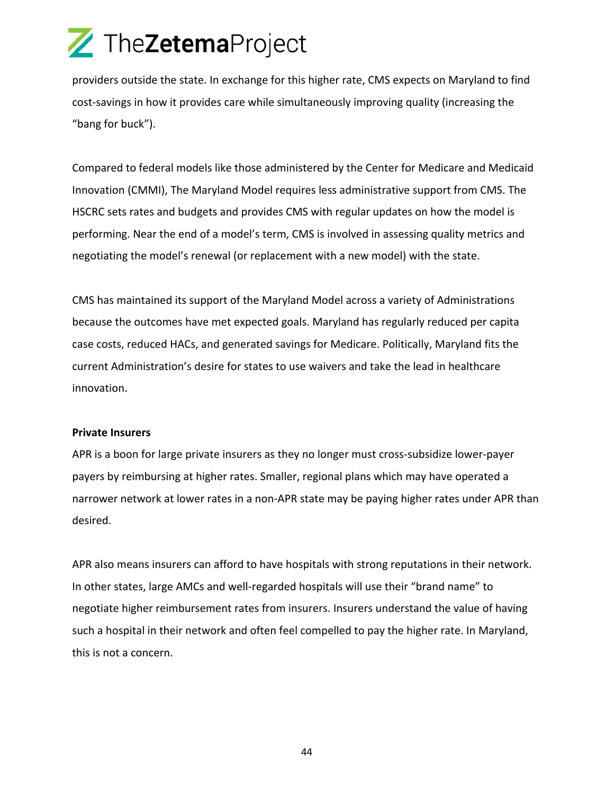providers outside the state. In exchange for this higher rate, CMS expects on Maryland to find cost-savings in how it provides care while simultaneously improving quality (increasing the "bang for buck").

Compared to federal models like those administered by the Center for Medicare and Medicaid Innovation (CMMI), The Maryland Model requires less administrative support from CMS. The HSCRC sets rates and budgets and provides CMS with regular updates on how the model is performing. Near the end of a model's term, CMS is involved in assessing quality metrics and negotiating the model's renewal (or replacement with a new model) with the state.

CMS has maintained its support of the Maryland Model across a variety of Administrations because the outcomes have met expected goals. Maryland has regularly reduced per capita case costs, reduced HACs, and generated savings for Medicare. Politically, Maryland fits the current Administration's desire for states to use waivers and take the lead in healthcare innovation.

#### **Private Insurers**

APR is a boon for large private insurers as they no longer must cross-subsidize lower-payer payers by reimbursing at higher rates. Smaller, regional plans which may have operated a narrower network at lower rates in a non-APR state may be paying higher rates under APR than desired.

APR also means insurers can afford to have hospitals with strong reputations in their network. In other states, large AMCs and well-regarded hospitals will use their "brand name" to negotiate higher reimbursement rates from insurers. Insurers understand the value of having such a hospital in their network and often feel compelled to pay the higher rate. In Maryland, this is not a concern.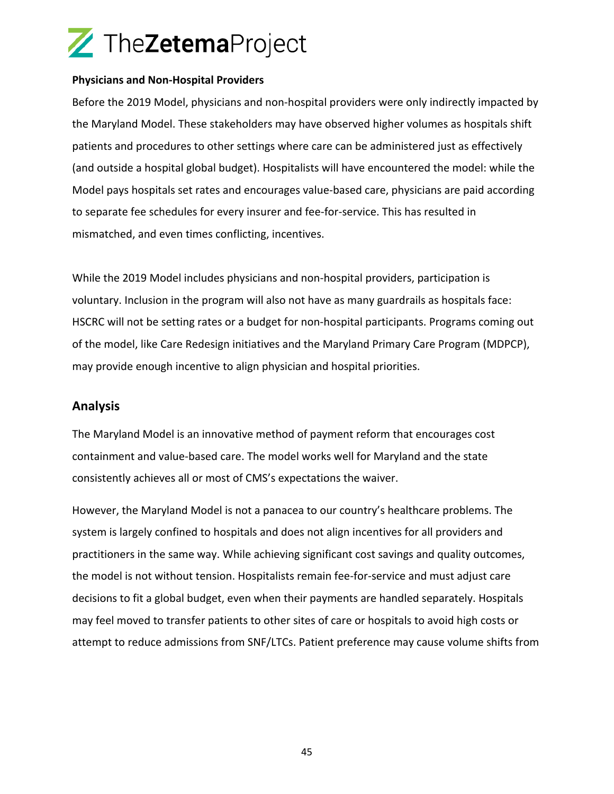#### **Physicians and Non-Hospital Providers**

Before the 2019 Model, physicians and non-hospital providers were only indirectly impacted by the Maryland Model. These stakeholders may have observed higher volumes as hospitals shift patients and procedures to other settings where care can be administered just as effectively (and outside a hospital global budget). Hospitalists will have encountered the model: while the Model pays hospitals set rates and encourages value-based care, physicians are paid according to separate fee schedules for every insurer and fee-for-service. This has resulted in mismatched, and even times conflicting, incentives.

While the 2019 Model includes physicians and non-hospital providers, participation is voluntary. Inclusion in the program will also not have as many guardrails as hospitals face: HSCRC will not be setting rates or a budget for non-hospital participants. Programs coming out of the model, like Care Redesign initiatives and the Maryland Primary Care Program (MDPCP), may provide enough incentive to align physician and hospital priorities.

### **Analysis**

The Maryland Model is an innovative method of payment reform that encourages cost containment and value-based care. The model works well for Maryland and the state consistently achieves all or most of CMS's expectations the waiver.

However, the Maryland Model is not a panacea to our country's healthcare problems. The system is largely confined to hospitals and does not align incentives for all providers and practitioners in the same way. While achieving significant cost savings and quality outcomes, the model is not without tension. Hospitalists remain fee-for-service and must adjust care decisions to fit a global budget, even when their payments are handled separately. Hospitals may feel moved to transfer patients to other sites of care or hospitals to avoid high costs or attempt to reduce admissions from SNF/LTCs. Patient preference may cause volume shifts from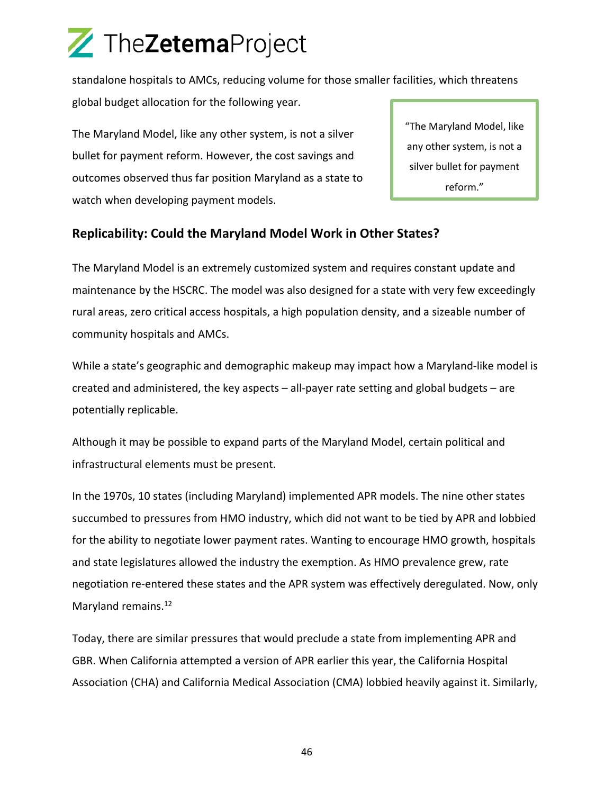standalone hospitals to AMCs, reducing volume for those smaller facilities, which threatens global budget allocation for the following year.

The Maryland Model, like any other system, is not a silver bullet for payment reform. However, the cost savings and outcomes observed thus far position Maryland as a state to watch when developing payment models.

"The Maryland Model, like any other system, is not a silver bullet for payment reform."

### **Replicability: Could the Maryland Model Work in Other States?**

The Maryland Model is an extremely customized system and requires constant update and maintenance by the HSCRC. The model was also designed for a state with very few exceedingly rural areas, zero critical access hospitals, a high population density, and a sizeable number of community hospitals and AMCs.

While a state's geographic and demographic makeup may impact how a Maryland-like model is created and administered, the key aspects – all-payer rate setting and global budgets – are potentially replicable.

Although it may be possible to expand parts of the Maryland Model, certain political and infrastructural elements must be present.

In the 1970s, 10 states (including Maryland) implemented APR models. The nine other states succumbed to pressures from HMO industry, which did not want to be tied by APR and lobbied for the ability to negotiate lower payment rates. Wanting to encourage HMO growth, hospitals and state legislatures allowed the industry the exemption. As HMO prevalence grew, rate negotiation re-entered these states and the APR system was effectively deregulated. Now, only Maryland remains.<sup>12</sup>

Today, there are similar pressures that would preclude a state from implementing APR and GBR. When California attempted a version of APR earlier this year, the California Hospital Association (CHA) and California Medical Association (CMA) lobbied heavily against it. Similarly,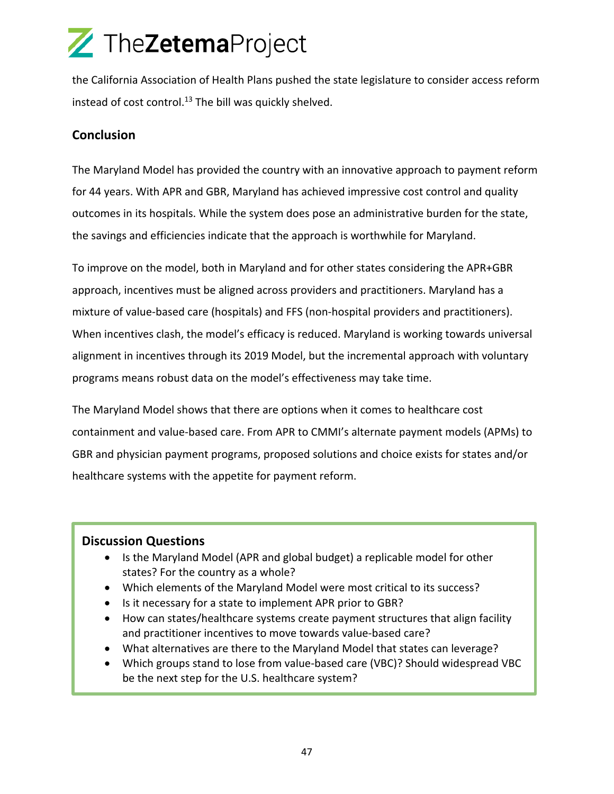the California Association of Health Plans pushed the state legislature to consider access reform instead of cost control.<sup>13</sup> The bill was quickly shelved.

### **Conclusion**

The Maryland Model has provided the country with an innovative approach to payment reform for 44 years. With APR and GBR, Maryland has achieved impressive cost control and quality outcomes in its hospitals. While the system does pose an administrative burden for the state, the savings and efficiencies indicate that the approach is worthwhile for Maryland.

To improve on the model, both in Maryland and for other states considering the APR+GBR approach, incentives must be aligned across providers and practitioners. Maryland has a mixture of value-based care (hospitals) and FFS (non-hospital providers and practitioners). When incentives clash, the model's efficacy is reduced. Maryland is working towards universal alignment in incentives through its 2019 Model, but the incremental approach with voluntary programs means robust data on the model's effectiveness may take time.

The Maryland Model shows that there are options when it comes to healthcare cost containment and value-based care. From APR to CMMI's alternate payment models (APMs) to GBR and physician payment programs, proposed solutions and choice exists for states and/or healthcare systems with the appetite for payment reform.

### **Discussion Questions**

- Is the Maryland Model (APR and global budget) a replicable model for other states? For the country as a whole?
- Which elements of the Maryland Model were most critical to its success?
- Is it necessary for a state to implement APR prior to GBR?
- How can states/healthcare systems create payment structures that align facility and practitioner incentives to move towards value-based care?
- What alternatives are there to the Maryland Model that states can leverage?
- Which groups stand to lose from value-based care (VBC)? Should widespread VBC be the next step for the U.S. healthcare system?